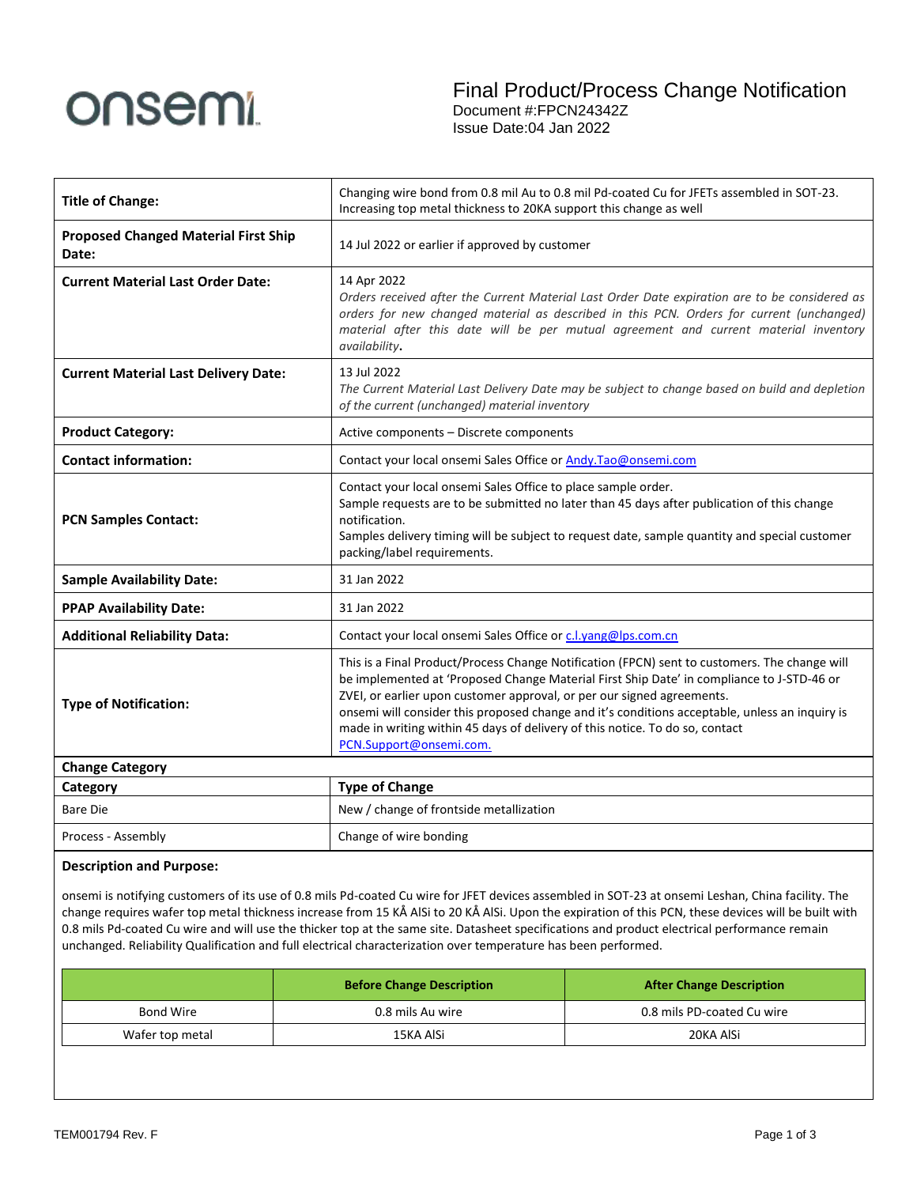

| <b>Title of Change:</b>                              | Changing wire bond from 0.8 mil Au to 0.8 mil Pd-coated Cu for JFETs assembled in SOT-23.<br>Increasing top metal thickness to 20KA support this change as well                                                                                                                                                                                                                                                                                                                   |  |
|------------------------------------------------------|-----------------------------------------------------------------------------------------------------------------------------------------------------------------------------------------------------------------------------------------------------------------------------------------------------------------------------------------------------------------------------------------------------------------------------------------------------------------------------------|--|
| <b>Proposed Changed Material First Ship</b><br>Date: | 14 Jul 2022 or earlier if approved by customer                                                                                                                                                                                                                                                                                                                                                                                                                                    |  |
| <b>Current Material Last Order Date:</b>             | 14 Apr 2022<br>Orders received after the Current Material Last Order Date expiration are to be considered as<br>orders for new changed material as described in this PCN. Orders for current (unchanged)<br>material after this date will be per mutual agreement and current material inventory<br>availability.                                                                                                                                                                 |  |
| <b>Current Material Last Delivery Date:</b>          | 13 Jul 2022<br>The Current Material Last Delivery Date may be subject to change based on build and depletion<br>of the current (unchanged) material inventory                                                                                                                                                                                                                                                                                                                     |  |
| <b>Product Category:</b>                             | Active components - Discrete components                                                                                                                                                                                                                                                                                                                                                                                                                                           |  |
| <b>Contact information:</b>                          | Contact your local onsemi Sales Office or Andy.Tao@onsemi.com                                                                                                                                                                                                                                                                                                                                                                                                                     |  |
| <b>PCN Samples Contact:</b>                          | Contact your local onsemi Sales Office to place sample order.<br>Sample requests are to be submitted no later than 45 days after publication of this change<br>notification.<br>Samples delivery timing will be subject to request date, sample quantity and special customer<br>packing/label requirements.                                                                                                                                                                      |  |
| <b>Sample Availability Date:</b>                     | 31 Jan 2022                                                                                                                                                                                                                                                                                                                                                                                                                                                                       |  |
| <b>PPAP Availability Date:</b>                       | 31 Jan 2022                                                                                                                                                                                                                                                                                                                                                                                                                                                                       |  |
| <b>Additional Reliability Data:</b>                  | Contact your local onsemi Sales Office or c.l.yang@lps.com.cn                                                                                                                                                                                                                                                                                                                                                                                                                     |  |
| <b>Type of Notification:</b>                         | This is a Final Product/Process Change Notification (FPCN) sent to customers. The change will<br>be implemented at 'Proposed Change Material First Ship Date' in compliance to J-STD-46 or<br>ZVEI, or earlier upon customer approval, or per our signed agreements.<br>onsemi will consider this proposed change and it's conditions acceptable, unless an inquiry is<br>made in writing within 45 days of delivery of this notice. To do so, contact<br>PCN.Support@onsemi.com. |  |
| <b>Change Category</b>                               |                                                                                                                                                                                                                                                                                                                                                                                                                                                                                   |  |
| Category                                             | <b>Type of Change</b>                                                                                                                                                                                                                                                                                                                                                                                                                                                             |  |
| <b>Bare Die</b>                                      | New / change of frontside metallization                                                                                                                                                                                                                                                                                                                                                                                                                                           |  |
| Process - Assembly                                   | Change of wire bonding                                                                                                                                                                                                                                                                                                                                                                                                                                                            |  |

## **Description and Purpose:**

onsemi is notifying customers of its use of 0.8 mils Pd-coated Cu wire for JFET devices assembled in SOT-23 at onsemi Leshan, China facility. The change requires wafer top metal thickness increase from 15 KÅ AlSi to 20 KÅ AlSi. Upon the expiration of this PCN, these devices will be built with 0.8 mils Pd-coated Cu wire and will use the thicker top at the same site. Datasheet specifications and product electrical performance remain unchanged. Reliability Qualification and full electrical characterization over temperature has been performed.

|                 | <b>Before Change Description</b> | <b>After Change Description</b> |  |
|-----------------|----------------------------------|---------------------------------|--|
| Bond Wire       | 0.8 mils Au wire                 | 0.8 mils PD-coated Cu wire      |  |
| Wafer top metal | 15KA AlSi                        | 20KA AISi                       |  |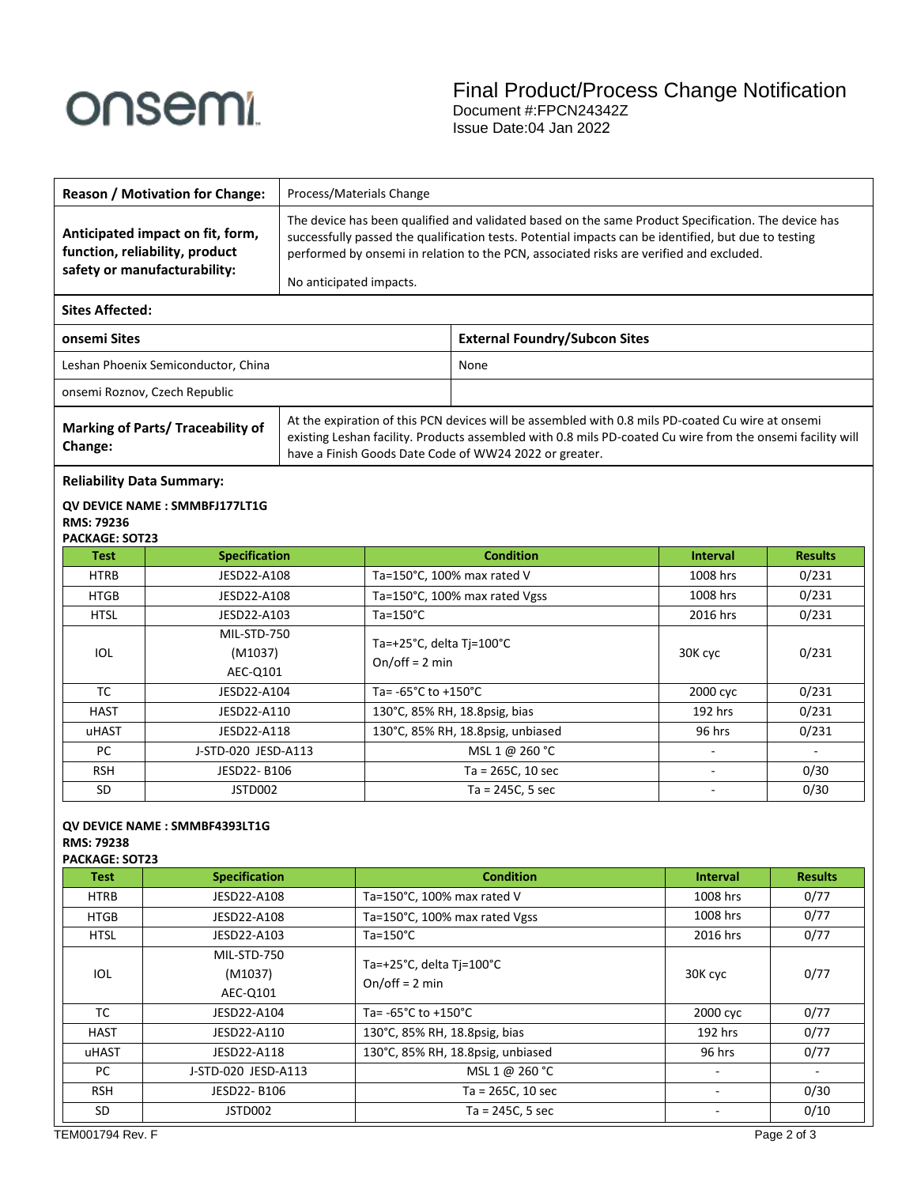# onsemi

 $\mathbf{I}$ 

|                                                                         | <b>Reason / Motivation for Change:</b>                 | Process/Materials Change |                                                                                                                                                                                                                                                                                                        |                                      |                             |                |
|-------------------------------------------------------------------------|--------------------------------------------------------|--------------------------|--------------------------------------------------------------------------------------------------------------------------------------------------------------------------------------------------------------------------------------------------------------------------------------------------------|--------------------------------------|-----------------------------|----------------|
| function, reliability, product<br>safety or manufacturability:          | Anticipated impact on fit, form,                       | No anticipated impacts.  | The device has been qualified and validated based on the same Product Specification. The device has<br>successfully passed the qualification tests. Potential impacts can be identified, but due to testing<br>performed by onsemi in relation to the PCN, associated risks are verified and excluded. |                                      |                             |                |
| <b>Sites Affected:</b>                                                  |                                                        |                          |                                                                                                                                                                                                                                                                                                        |                                      |                             |                |
|                                                                         |                                                        |                          |                                                                                                                                                                                                                                                                                                        |                                      |                             |                |
| onsemi Sites                                                            |                                                        |                          |                                                                                                                                                                                                                                                                                                        | <b>External Foundry/Subcon Sites</b> |                             |                |
|                                                                         | Leshan Phoenix Semiconductor, China                    |                          |                                                                                                                                                                                                                                                                                                        | None                                 |                             |                |
| onsemi Roznov, Czech Republic                                           |                                                        |                          |                                                                                                                                                                                                                                                                                                        |                                      |                             |                |
| <b>Marking of Parts/ Traceability of</b><br>Change:                     |                                                        |                          | At the expiration of this PCN devices will be assembled with 0.8 mils PD-coated Cu wire at onsemi<br>existing Leshan facility. Products assembled with 0.8 mils PD-coated Cu wire from the onsemi facility will<br>have a Finish Goods Date Code of WW24 2022 or greater.                              |                                      |                             |                |
| <b>Reliability Data Summary:</b><br>RMS: 79236<br><b>PACKAGE: SOT23</b> | QV DEVICE NAME: SMMBFJ177LT1G                          |                          |                                                                                                                                                                                                                                                                                                        |                                      |                             |                |
| <b>Test</b>                                                             | <b>Specification</b>                                   |                          |                                                                                                                                                                                                                                                                                                        | <b>Condition</b>                     | <b>Interval</b>             | <b>Results</b> |
| <b>HTRB</b>                                                             | JESD22-A108                                            |                          |                                                                                                                                                                                                                                                                                                        | Ta=150°C, 100% max rated V           | 1008 hrs                    | 0/231          |
| <b>HTGB</b>                                                             | JESD22-A108                                            |                          |                                                                                                                                                                                                                                                                                                        | Ta=150°C, 100% max rated Vgss        | 1008 hrs                    | 0/231          |
|                                                                         | <b>HTSL</b><br>JESD22-A103                             |                          | Ta=150°C                                                                                                                                                                                                                                                                                               |                                      | 2016 hrs                    | 0/231          |
| IOL                                                                     | MIL-STD-750<br>(M1037)<br>AEC-Q101                     |                          | Ta=+25°C, delta Tj=100°C<br>$On/off = 2 min$                                                                                                                                                                                                                                                           |                                      | 30K cyc                     | 0/231          |
| <b>TC</b>                                                               | JESD22-A104                                            |                          | Ta=-65°C to +150°C                                                                                                                                                                                                                                                                                     |                                      | 2000 сус                    | 0/231          |
| <b>HAST</b>                                                             | JESD22-A110                                            |                          | 130°C, 85% RH, 18.8psig, bias                                                                                                                                                                                                                                                                          |                                      | 192 hrs                     | 0/231          |
| uHAST                                                                   | JESD22-A118                                            |                          | 130°C, 85% RH, 18.8psig, unbiased                                                                                                                                                                                                                                                                      |                                      | 96 hrs                      | 0/231          |
| PC                                                                      | J-STD-020 JESD-A113                                    |                          |                                                                                                                                                                                                                                                                                                        | MSL 1 @ 260 °C                       |                             |                |
| <b>RSH</b>                                                              | JESD22-B106                                            |                          |                                                                                                                                                                                                                                                                                                        | Ta = 265C, 10 sec                    |                             | 0/30           |
| SD                                                                      | JSTD002                                                |                          |                                                                                                                                                                                                                                                                                                        | $Ta = 245C, 5 sec$                   |                             | 0/30           |
| <b>RMS: 79238</b><br>PACKAGE: SOT23<br>Test                             | QV DEVICE NAME : SMMBF4393LT1G<br><b>Specification</b> |                          |                                                                                                                                                                                                                                                                                                        | <b>Condition</b>                     | <b>Interval</b>             | <b>Results</b> |
| <b>HTRB</b>                                                             | JESD22-A108                                            |                          |                                                                                                                                                                                                                                                                                                        | Ta=150°C, 100% max rated V           | 1008 hrs                    | 0/77           |
| <b>HTGB</b>                                                             | JESD22-A108                                            |                          |                                                                                                                                                                                                                                                                                                        | Ta=150°C, 100% max rated Vgss        | 1008 hrs                    | 0/77           |
| <b>HTSL</b>                                                             | JESD22-A103                                            | $Ta=150^{\circ}C$        |                                                                                                                                                                                                                                                                                                        |                                      | 2016 hrs                    | 0/77           |
| MIL-STD-750                                                             |                                                        |                          |                                                                                                                                                                                                                                                                                                        |                                      |                             |                |
| IOL                                                                     | (M1037)                                                |                          | Ta=+25°C, delta Tj=100°C<br>$On/off = 2 min$                                                                                                                                                                                                                                                           |                                      | 30K cyc                     | 0/77           |
|                                                                         | AEC-Q101                                               |                          |                                                                                                                                                                                                                                                                                                        |                                      |                             |                |
| <b>TC</b>                                                               | JESD22-A104                                            |                          | Ta=-65°C to +150°C                                                                                                                                                                                                                                                                                     |                                      | 2000 cyc                    | 0/77           |
| <b>HAST</b>                                                             | JESD22-A110                                            |                          | 130°C, 85% RH, 18.8psig, bias                                                                                                                                                                                                                                                                          |                                      | 192 hrs                     | 0/77           |
| uHAST                                                                   | JESD22-A118                                            |                          |                                                                                                                                                                                                                                                                                                        | 130°C, 85% RH, 18.8psig, unbiased    | 96 hrs                      | 0/77           |
| PC                                                                      | J-STD-020 JESD-A113                                    |                          |                                                                                                                                                                                                                                                                                                        | MSL 1 @ 260 °C                       | $\blacksquare$              |                |
| <b>RSH</b>                                                              | JESD22-B106                                            |                          |                                                                                                                                                                                                                                                                                                        | $Ta = 265C, 10 sec$                  | $\blacksquare$              | 0/30           |
| $\sf SD$                                                                | JSTD002                                                |                          |                                                                                                                                                                                                                                                                                                        | Ta = 245C, 5 sec                     | $\mathcal{L}_{\mathcal{A}}$ | 0/10           |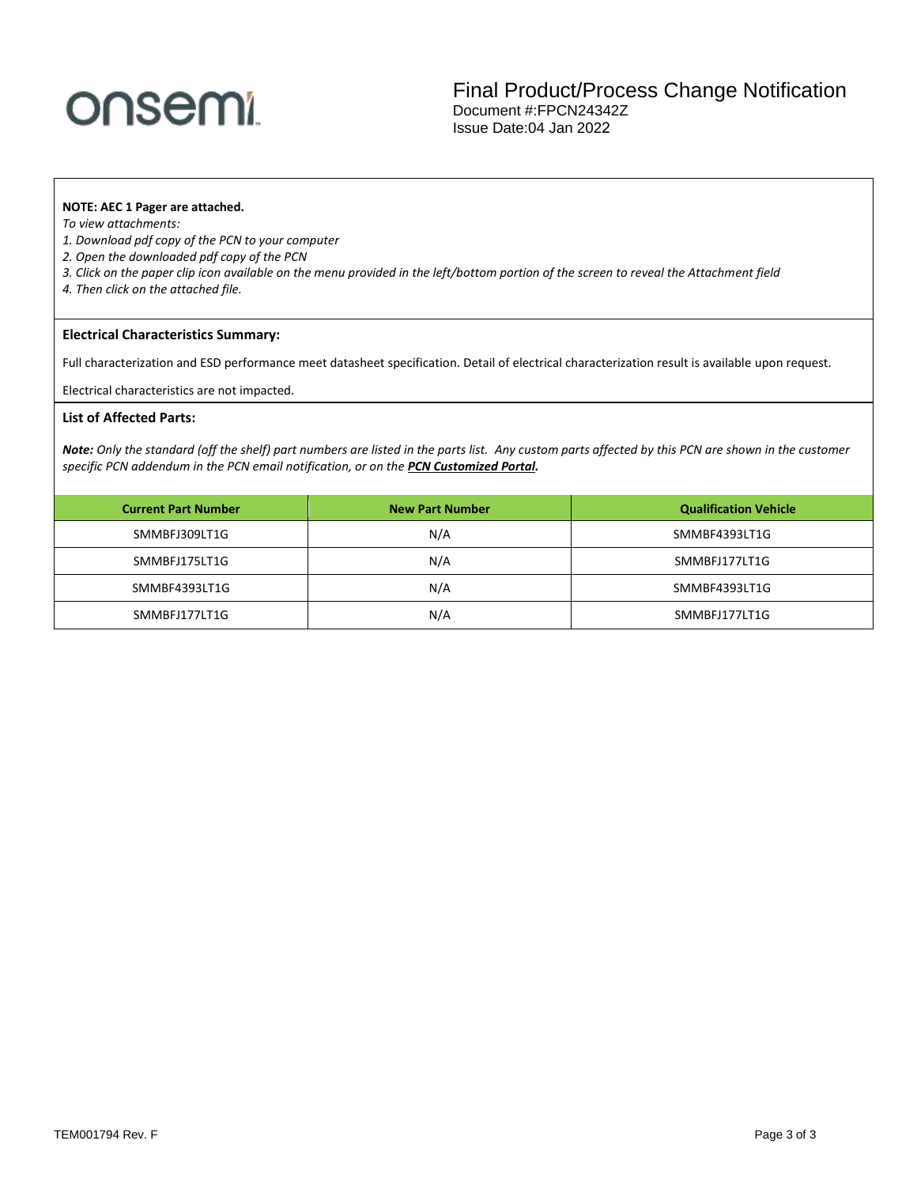# onsemi

Final Product/Process Change Notification Document #:FPCN24342Z Issue Date:04 Jan 2022

### **NOTE: AEC 1 Pager are attached.**

*To view attachments:* 

- *1. Download pdf copy of the PCN to your computer*
- *2. Open the downloaded pdf copy of the PCN*
- *3. Click on the paper clip icon available on the menu provided in the left/bottom portion of the screen to reveal the Attachment field*
- *4. Then click on the attached file.*

### **Electrical Characteristics Summary:**

Full characterization and ESD performance meet datasheet specification. Detail of electrical characterization result is available upon request.

Electrical characteristics are not impacted.

### **List of Affected Parts:**

*Note: Only the standard (off the shelf) part numbers are listed in the parts list. Any custom parts affected by this PCN are shown in the customer specific PCN addendum in the PCN email notification, or on the [PCN Customized Portal.](https://www.onsemi.com/PowerSolutions/pcn.do)*

| <b>Current Part Number</b> | <b>New Part Number</b> | <b>Qualification Vehicle</b> |
|----------------------------|------------------------|------------------------------|
| SMMBFJ309LT1G              | N/A                    | SMMBF4393LT1G                |
| SMMBFJ175LT1G              | N/A                    | SMMBFJ177LT1G                |
| SMMBF4393LT1G              | N/A                    | SMMBF4393LT1G                |
| SMMBFJ177LT1G              | N/A                    | SMMBFJ177LT1G                |